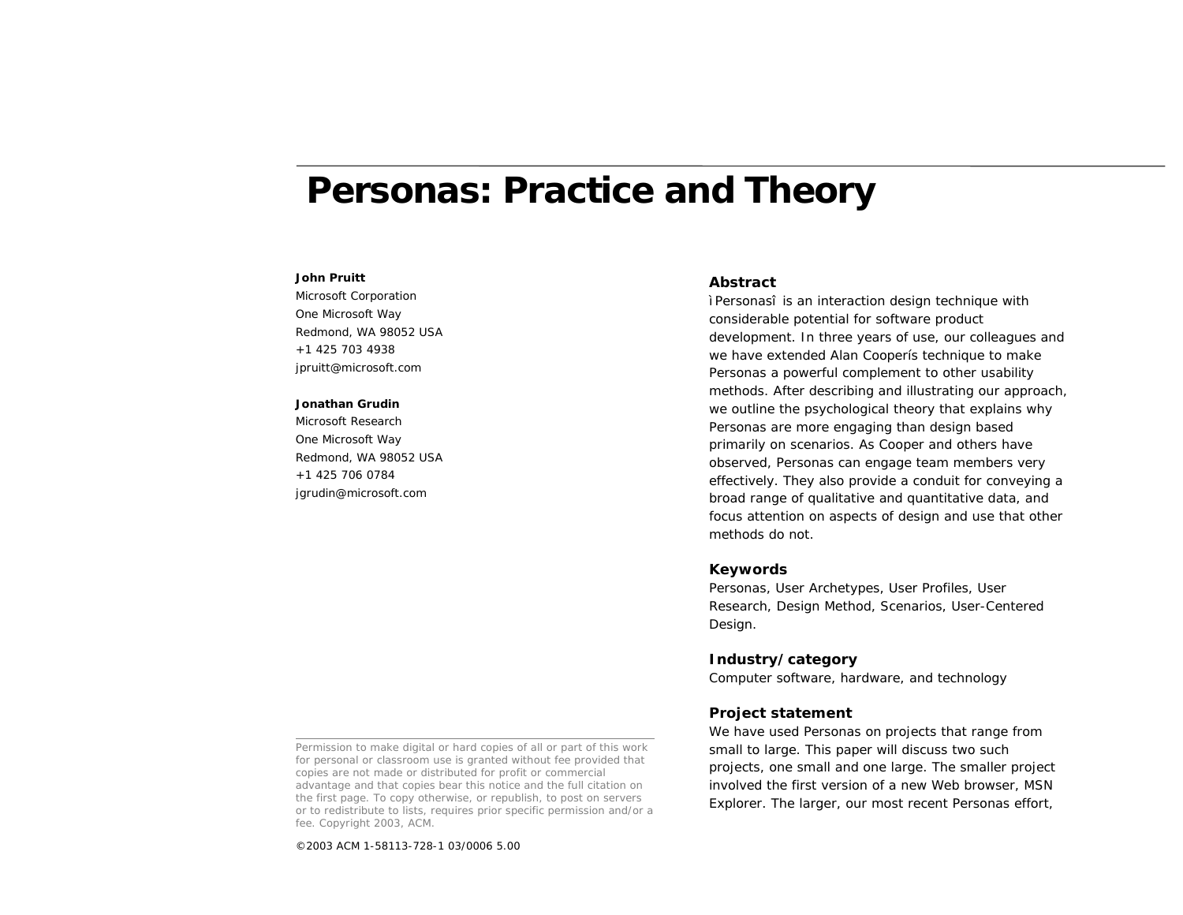# **Personas: Practice and Theory**

#### **John Pruitt**

Microsoft Corporation One Microsoft Way Redmond, WA 98052 USA +1 425 703 4938 jpruitt@microsoft.com

#### **Jonathan Grudin**

Microsoft ResearchOne Microsoft Way Redmond, WA 98052 USA +1 425 706 0784 jgrudin@microsoft.com

## **Abstract**

ì Personasî is an interaction design technique with considerable potential for software product development. In three years of use, our colleagues and we have extended Alan Cooperís technique to make Personas a powerful complement to other usability methods. After describing and illustrating our approach, we outline the psychological theory that explains why Personas are more engaging than design based primarily on scenarios. As Cooper and others have observed, Personas can engage team members very effectively. They also provide <sup>a</sup> conduit for conveying <sup>a</sup> broad range of qualitative and quantitative data, and focus attention on aspects of design and use that other methods do not.

#### **Keywords**

Personas, User Archetypes, User Profiles, User Research, Design Method, Scenarios, User-Centered Design.

#### **Industry/category**

Computer software, hardware, and technology

## **Project statement**

We have used Personas on projects that range from small to large. This paper will discuss two such projects, one small and one large. The smaller project involved the first version of <sup>a</sup> new Web browser, MSN Explorer. The larger, our most recent Personas effort,

©2003 ACM 1-58113-728-1 03/0006 5.00

Permission to make digital or hard copies of all or part of this work for personal or classroom use is granted without fee provided that copies are not made or distributed for profit or commercial advantage and that copies bear this notice and the full citation on the first page. To copy otherwise, or republish, to post on servers or to redistribute to lists, requires prior specific permission and/or <sup>a</sup> fee. Copyright 2003, ACM.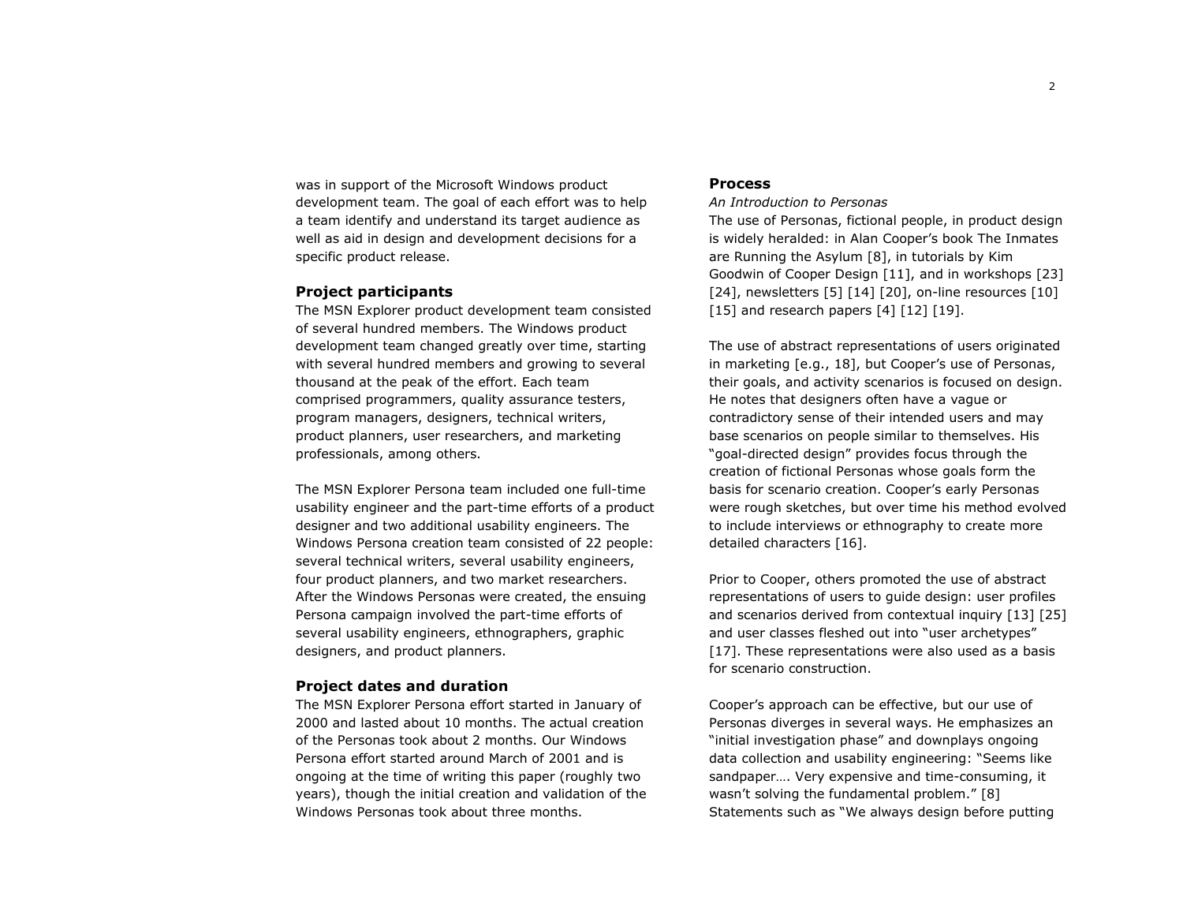was in support of the Microsoft Windows product development team. The goal of each effort was to help a team identify and understand its target audience as well as aid in design and development decisions for a specific product release.

# **Project participants**

The MSN Explorer product development team consisted of several hundred members. The Windows product development team changed greatly over time, starting with several hundred members and growing to several thousand at the peak of the effort. Each team comprised programmers, quality assurance testers, program managers, designers, technical writers, product planners, user researchers, and marketing professionals, among others.

The MSN Explorer Persona team included one full-time usability engineer and the part-time efforts of a product designer and two additional usability engineers. The Windows Persona creation team consisted of 22 people: several technical writers, several usability engineers, four product planners, and two market researchers. After the Windows Personas were created, the ensuing Persona campaign involved the part-time efforts of several usability engineers, ethnographers, graphic designers, and product planners.

# **Project dates and duration**

The MSN Explorer Persona effort started in January of 2000 and lasted about 10 months. The actual creation of the Personas took about 2 months. Our Windows Persona effort started around March of 2001 and is ongoing at the time of writing this paper (roughly two years), though the initial creation and validation of the Windows Personas took about three months.

# **Process**

# *An Introduction to Personas*

The use of Personas, fictional people, in product design is widely heralded: in Alan Cooper's book The Inmates are Running the Asylum [8], in tutorials by Kim Goodwin of Cooper Design [11], and in workshops [23] [24], newsletters [5] [14] [20], on-line resources [10]  $[15]$  and research papers  $[4]$   $[12]$   $[19]$ .

The use of abstract representations of users originated in marketing [e.g., 18], but Cooper's use of Personas, their goals, and activity scenarios is focused on design. He notes that designers often have a vague or contradictory sense of their intended users and may base scenarios on people similar to themselves. His "goal-directed design" provides focus through the creation of fictional Personas whose goals form the basis for scenario creation. Cooper's early Personas were rough sketches, but over time his method evolved to include interviews or ethnography to create more detailed characters [16].

Prior to Cooper, others promoted the use of abstract representations of users to guide design: user profiles and scenarios derived from contextual inquiry [13] [25] and user classes fleshed out into "user archetypes" [17]. These representations were also used as a basis for scenario construction.

Cooperís approach can be effective, but our use of Personas diverges in several ways. He emphasizes an "initial investigation phase" and downplays ongoing data collection and usability engineering: "Seems like sandpaper.... Very expensive and time-consuming, it wasn't solving the fundamental problem." [8] Statements such as "We always design before putting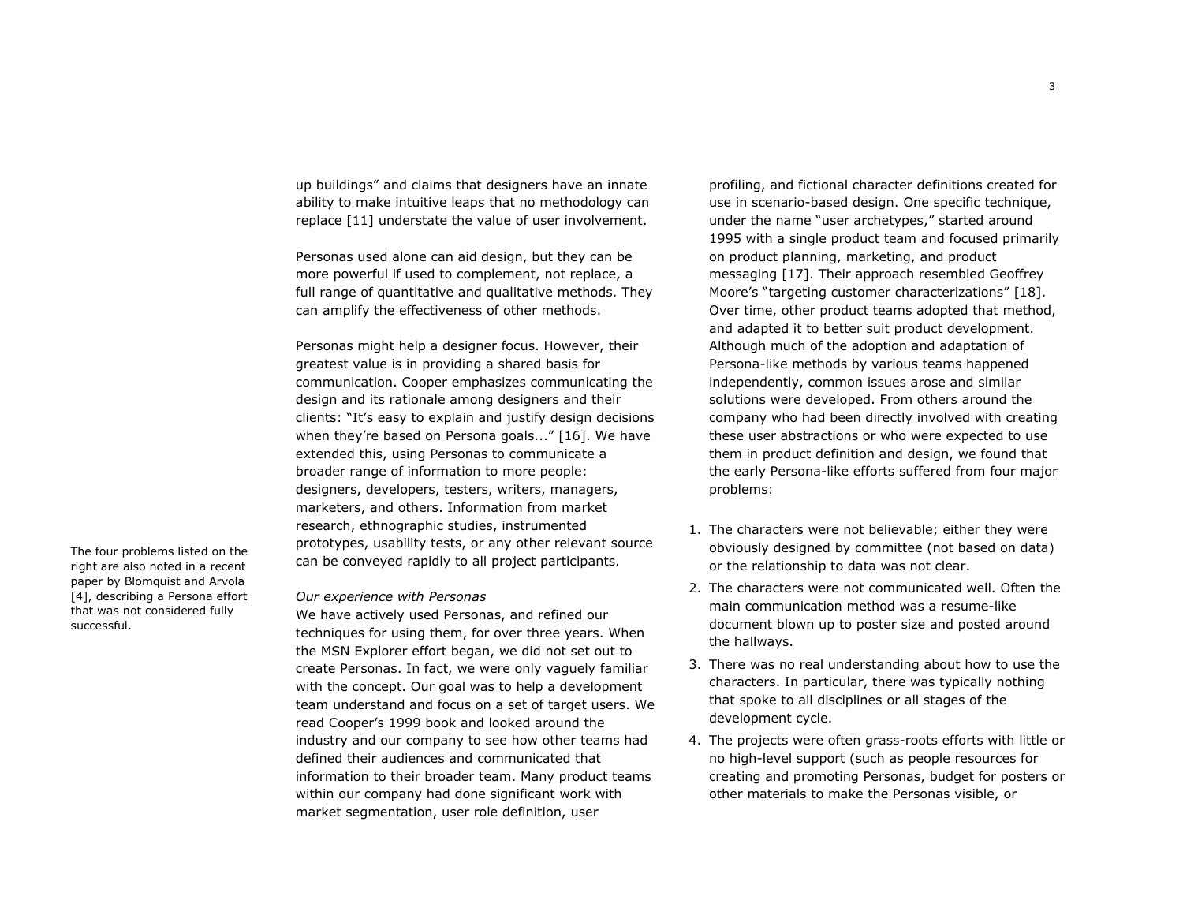up buildings" and claims that designers have an innate ability to make intuitive leaps that no methodology can replace [11] understate the value of user involvement.

Personas used alone can aid design, but they can be more powerful if used to complement, not replace, a full range of quantitative and qualitative methods. They can amplify the effectiveness of other methods.

Personas might help a designer focus. However, their greatest value is in providing a shared basis for communication. Cooper emphasizes communicating the design and its rationale among designers and their clients: "It's easy to explain and justify design decisions when they're based on Persona goals..." [16]. We have extended this, using Personas to communicate a broader range of information to more people: designers, developers, testers, writers, managers, marketers, and others. Information from market research, ethnographic studies, instrumented prototypes, usability tests, or any other relevant source can be conveyed rapidly to all project participants.

right are also noted in a recent paper by Blomquist and Arvola [4], describing a Persona effort that was not considered fully successful.

The four problems listed on the

#### *Our experience with Personas*

We have actively used Personas, and refined our techniques for using them, for over three years. When the MSN Explorer effort began, we did not set out to create Personas. In fact, we were only vaguely familiar with the concept. Our goal was to help a development team understand and focus on a set of target users. We read Cooper's 1999 book and looked around the industry and our company to see how other teams had defined their audiences and communicated that information to their broader team. Many product teams within our company had done significant work with market segmentation, user role definition, user

profiling, and fictional character definitions created for use in scenario-based design. One specific technique, under the name "user archetypes," started around 1995 with a single product team and focused primarily on product planning, marketing, and product messaging [17]. Their approach resembled Geoffrey Moore's "targeting customer characterizations" [18]. Over time, other product teams adopted that method, and adapted it to better suit product development. Although much of the adoption and adaptation of Persona-like methods by various teams happened independently, common issues arose and similar solutions were developed. From others around the company who had been directly involved with creating these user abstractions or who were expected to use them in product definition and design, we found that the early Persona-like efforts suffered from four major problems:

- 1. The characters were not believable; either they were obviously designed by committee (not based on data) or the relationship to data was not clear.
- 2. The characters were not communicated well. Often the main communication method was a resume-like document blown up to poster size and posted around the hallways.
- 3. There was no real understanding about how to use the characters. In particular, there was typically nothing that spoke to all disciplines or all stages of the development cycle.
- 4. The projects were often grass-roots efforts with little or no high-level support (such as people resources for creating and promoting Personas, budget for posters or other materials to make the Personas visible, or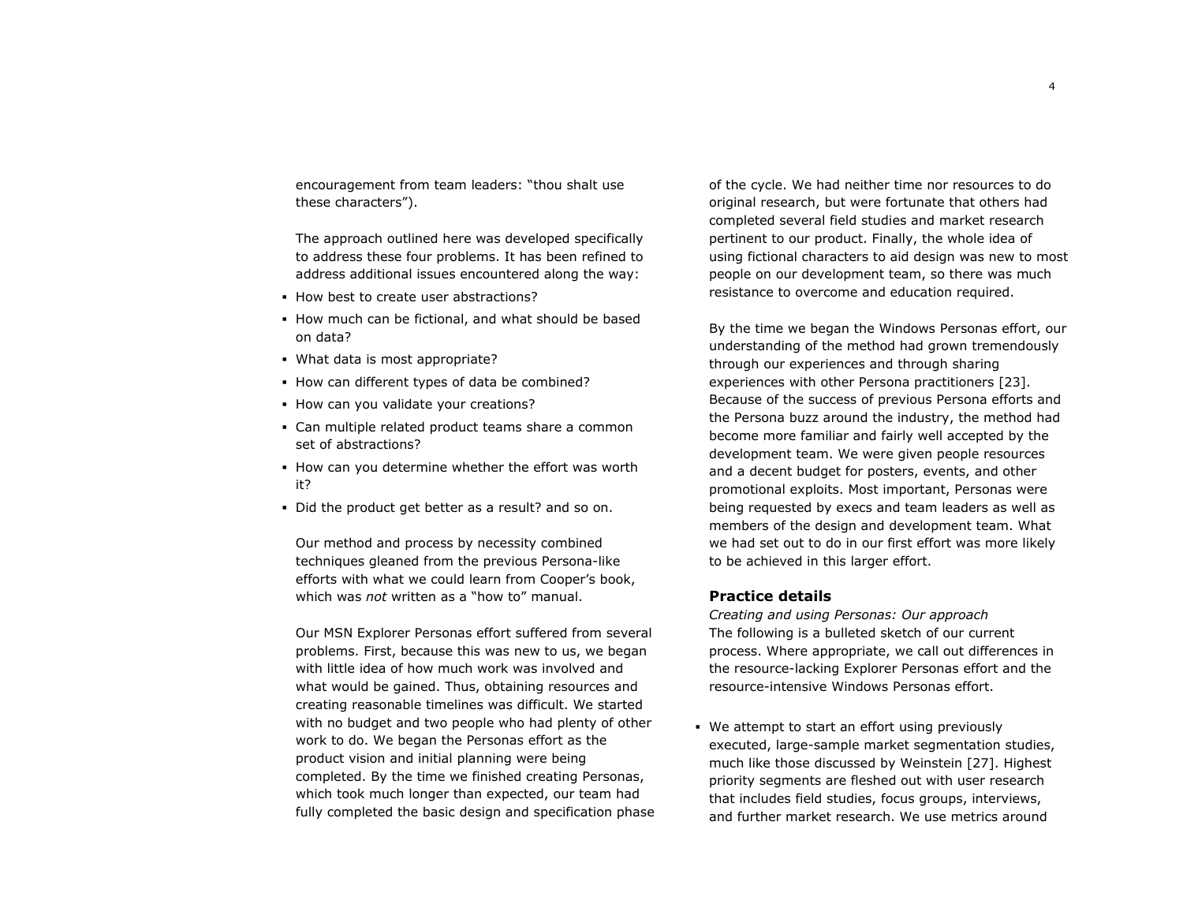encouragement from team leaders: "thou shalt use these characters<sup>"</sup>).

The approach outlined here was developed specifically to address these four problems. It has been refined to address additional issues encountered along the way:

- . How best to create user abstractions?
- ! How much can be fictional, and what should be based on data?
- ! What data is most appropriate?
- ! How can different types of data be combined?
- ! How can you validate your creations?
- . Can multiple related product teams share a common set of abstractions?
- ! How can you determine whether the effort was worth it?
- ! Did the product get better as a result? and so on.

Our method and process by necessity combined techniques gleaned from the previous Persona-like efforts with what we could learn from Cooper's book, which was *not* written as a "how to" manual.

Our MSN Explorer Personas effort suffered from several problems. First, because this was new to us, we began with little idea of how much work was involved and what would be gained. Thus, obtaining resources and creating reasonable timelines was difficult. We started with no budget and two people who had plenty of other work to do. We began the Personas effort as the product vision and initial planning were being completed. By the time we finished creating Personas, which took much longer than expected, our team had fully completed the basic design and specification phase of the cycle. We had neither time nor resources to do original research, but were fortunate that others had completed several field studies and market research pertinent to our product. Finally, the whole idea of using fictional characters to aid design was new to most people on our development team, so there was much resistance to overcome and education required.

By the time we began the Windows Personas effort, our understanding of the method had grown tremendously through our experiences and through sharing experiences with other Persona practitioners [23]. Because of the success of previous Persona efforts and the Persona buzz around the industry, the method had become more familiar and fairly well accepted by the development team. We were given people resources and a decent budget for posters, events, and other promotional exploits. Most important, Personas were being requested by execs and team leaders as well as members of the design and development team. What we had set out to do in our first effort was more likely to be achieved in this larger effort.

# **Practice details**

*Creating and using Personas: Our approach*  The following is a bulleted sketch of our current process. Where appropriate, we call out differences in the resource-lacking Explorer Personas effort and the resource-intensive Windows Personas effort.

. We attempt to start an effort using previously executed, large-sample market segmentation studies, much like those discussed by Weinstein [27]. Highest priority segments are fleshed out with user research that includes field studies, focus groups, interviews, and further market research. We use metrics around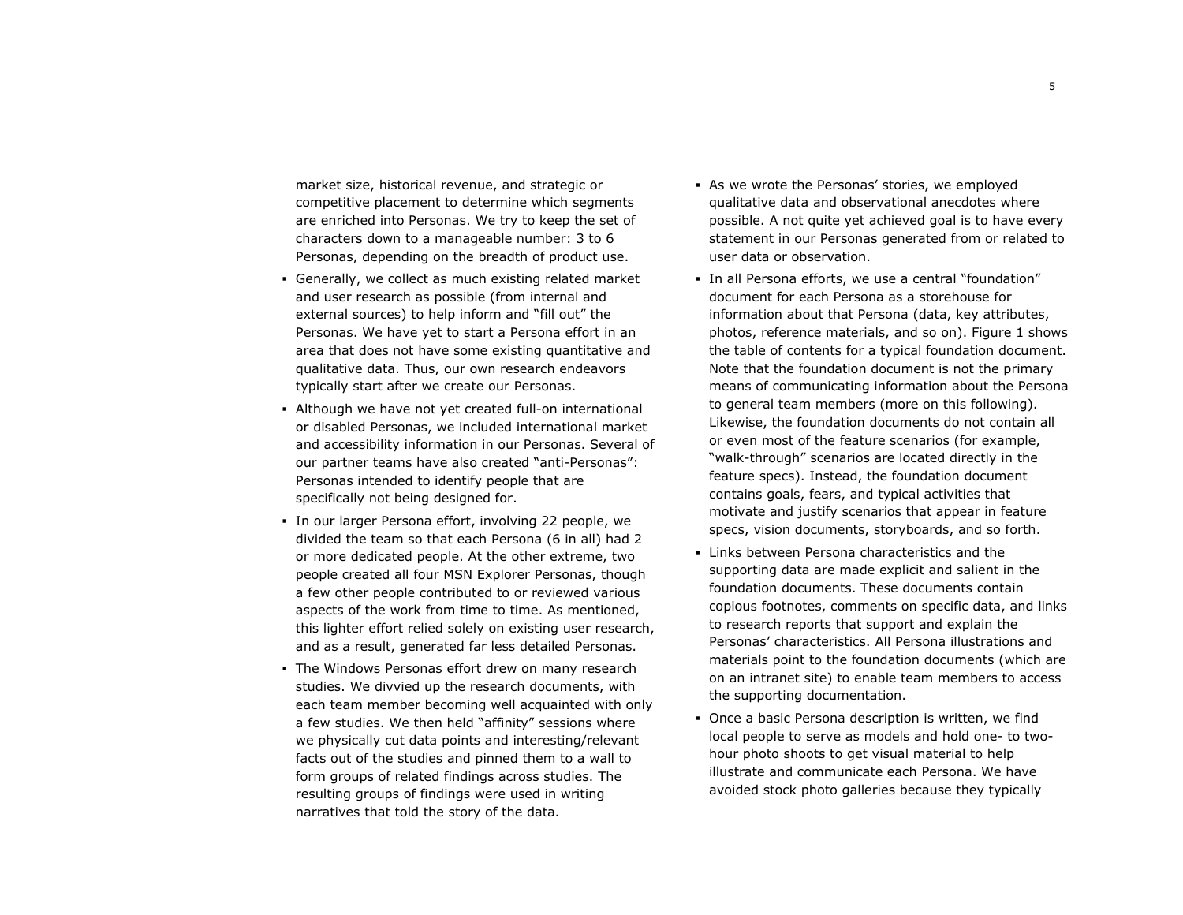market size, historical revenue, and strategic or competitive placement to determine which segments are enriched into Personas. We try to keep the set of characters down to a manageable number: 3 to 6 Personas, depending on the breadth of product use.

- ! Generally, we collect as much existing related market and user research as possible (from internal and external sources) to help inform and "fill out" the Personas. We have yet to start a Persona effort in an area that does not have some existing quantitative and qualitative data. Thus, our own research endeavors typically start after we create our Personas.
- ! Although we have not yet created full-on international or disabled Personas, we included international market and accessibility information in our Personas. Several of our partner teams have also created "anti-Personas": Personas intended to identify people that are specifically not being designed for.
- ! In our larger Persona effort, involving 22 people, we divided the team so that each Persona (6 in all) had 2 or more dedicated people. At the other extreme, two people created all four MSN Explorer Personas, though a few other people contributed to or reviewed various aspects of the work from time to time. As mentioned, this lighter effort relied solely on existing user research, and as a result, generated far less detailed Personas.
- . The Windows Personas effort drew on many research studies. We divvied up the research documents, with each team member becoming well acquainted with only a few studies. We then held "affinity" sessions where we physically cut data points and interesting/relevant facts out of the studies and pinned them to a wall to form groups of related findings across studies. The resulting groups of findings were used in writing narratives that told the story of the data.
- ! As we wrote the Personasí stories, we employed qualitative data and observational anecdotes where possible. A not quite yet achieved goal is to have every statement in our Personas generated from or related to user data or observation.
- . In all Persona efforts, we use a central "foundation" document for each Persona as a storehouse for information about that Persona (data, key attributes, photos, reference materials, and so on). Figure 1 shows the table of contents for a typical foundation document. Note that the foundation document is not the primary means of communicating information about the Persona to general team members (more on this following). Likewise, the foundation documents do not contain all or even most of the feature scenarios (for example, "walk-through" scenarios are located directly in the feature specs). Instead, the foundation document contains goals, fears, and typical activities that motivate and justify scenarios that appear in feature specs, vision documents, storyboards, and so forth.
- **Example 1** Links between Persona characteristics and the supporting data are made explicit and salient in the foundation documents. These documents contain copious footnotes, comments on specific data, and links to research reports that support and explain the Personasí characteristics. All Persona illustrations and materials point to the foundation documents (which are on an intranet site) to enable team members to access the supporting documentation.
- ! Once a basic Persona description is written, we find local people to serve as models and hold one- to twohour photo shoots to get visual material to help illustrate and communicate each Persona. We have avoided stock photo galleries because they typically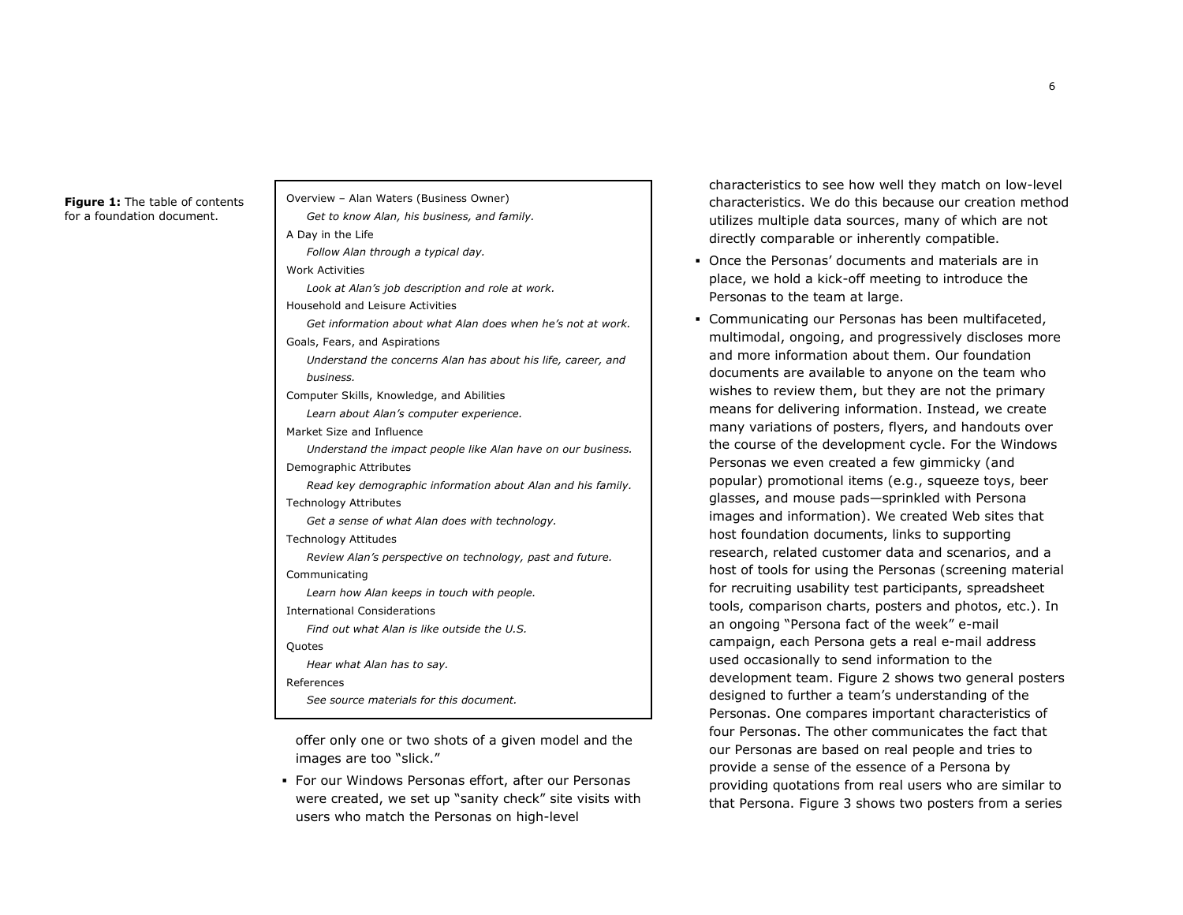**Figure 1:** The table of contents for a foundation document.

| Overview - Alan Waters (Business Owner)                      |  |  |  |  |  |
|--------------------------------------------------------------|--|--|--|--|--|
| Get to know Alan, his business, and family.                  |  |  |  |  |  |
| A Day in the Life                                            |  |  |  |  |  |
| Follow Alan through a typical day.                           |  |  |  |  |  |
| <b>Work Activities</b>                                       |  |  |  |  |  |
| Look at Alan's job description and role at work.             |  |  |  |  |  |
| Household and Leisure Activities                             |  |  |  |  |  |
| Get information about what Alan does when he's not at work.  |  |  |  |  |  |
| Goals, Fears, and Aspirations                                |  |  |  |  |  |
| Understand the concerns Alan has about his life, career, and |  |  |  |  |  |
| business.                                                    |  |  |  |  |  |
| Computer Skills, Knowledge, and Abilities                    |  |  |  |  |  |
| Learn about Alan's computer experience.                      |  |  |  |  |  |
| Market Size and Influence                                    |  |  |  |  |  |
| Understand the impact people like Alan have on our business. |  |  |  |  |  |
| Demographic Attributes                                       |  |  |  |  |  |
| Read key demographic information about Alan and his family.  |  |  |  |  |  |
| <b>Technology Attributes</b>                                 |  |  |  |  |  |
| Get a sense of what Alan does with technology.               |  |  |  |  |  |
| Technology Attitudes                                         |  |  |  |  |  |
| Review Alan's perspective on technology, past and future.    |  |  |  |  |  |
| Communicating                                                |  |  |  |  |  |
| Learn how Alan keeps in touch with people.                   |  |  |  |  |  |
| <b>International Considerations</b>                          |  |  |  |  |  |
| Find out what Alan is like outside the U.S.                  |  |  |  |  |  |
| Quotes                                                       |  |  |  |  |  |
| Hear what Alan has to say.                                   |  |  |  |  |  |
| References                                                   |  |  |  |  |  |
| See source materials for this document.                      |  |  |  |  |  |
|                                                              |  |  |  |  |  |

offer only one or two shots of a given model and the images are too "slick."

! For our Windows Personas effort, after our Personas were created, we set up "sanity check" site visits with users who match the Personas on high-level

characteristics to see how well they match on low-level characteristics. We do this because our creation method utilizes multiple data sources, many of which are not directly comparable or inherently compatible.

- **Deam** Once the Personas' documents and materials are in place, we hold a kick-off meeting to introduce the Personas to the team at large.
- ! Communicating our Personas has been multifaceted, multimodal, ongoing, and progressively discloses more and more information about them. Our foundation documents are available to anyone on the team who wishes to review them, but they are not the primary means for delivering information. Instead, we create many variations of posters, flyers, and handouts over the course of the development cycle. For the Windows Personas we even created a few gimmicky (and popular) promotional items (e.g., squeeze toys, beer glasses, and mouse pads-sprinkled with Persona images and information). We created Web sites that host foundation documents, links to supporting research, related customer data and scenarios, and a host of tools for using the Personas (screening material for recruiting usability test participants, spreadsheet tools, comparison charts, posters and photos, etc.). In an ongoing "Persona fact of the week" e-mail campaign, each Persona gets a real e-mail address used occasionally to send information to the development team. Figure 2 shows two general posters designed to further a team's understanding of the Personas. One compares important characteristics of four Personas. The other communicates the fact that our Personas are based on real people and tries to provide a sense of the essence of a Persona by providing quotations from real users who are similar to that Persona. Figure 3 shows two posters from a series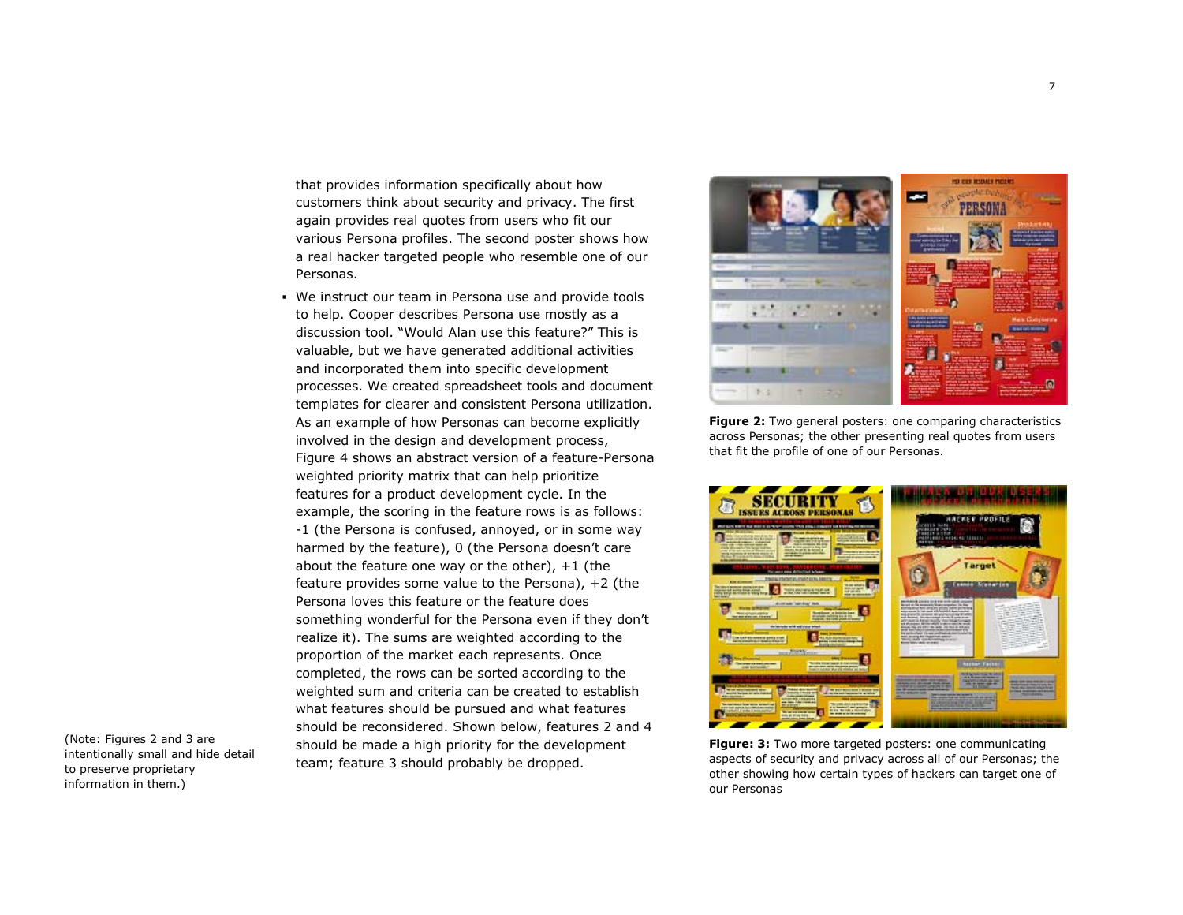7

that provides information specifically about how customers think about security and privacy. The first again provides real quotes from users who fit our various Persona profiles. The second poster shows how a real hacker targeted people who resemble one of our Personas.

! We instruct our team in Persona use and provide tools to help. Cooper describes Persona use mostly as a discussion tool. "Would Alan use this feature?" This is valuable, but we have generated additional activities and incorporated them into specific development processes. We created spreadsheet tools and document templates for clearer and consistent Persona utilization. As an example of how Personas can become explicitly involved in the design and development process, Figure 4 shows an abstract version of a feature-Persona weighted priority matrix that can help prioritize features for a product development cycle. In the example, the scoring in the feature rows is as follows: -1 (the Persona is confused, annoyed, or in some way harmed by the feature), 0 (the Persona doesn't care about the feature one way or the other),  $+1$  (the feature provides some value to the Persona), +2 (the Persona loves this feature or the feature does something wonderful for the Persona even if they don't realize it). The sums are weighted according to the proportion of the market each represents. Once completed, the rows can be sorted according to the weighted sum and criteria can be created to establish what features should be pursued and what features should be reconsidered. Shown below, features 2 and 4 should be made a high priority for the development team; feature 3 should probably be dropped.



**Figure 2:** Two general posters: one comparing characteristics across Personas; the other presenting real quotes from users that fit the profile of one of our Personas.



**Figure: 3:** Two more targeted posters: one communicating aspects of security and privacy across all of our Personas; the other showing how certain types of hackers can target one of our Personas

(Note: Figures 2 and 3 are intentionally small and hide detail to preserve proprietary information in them.)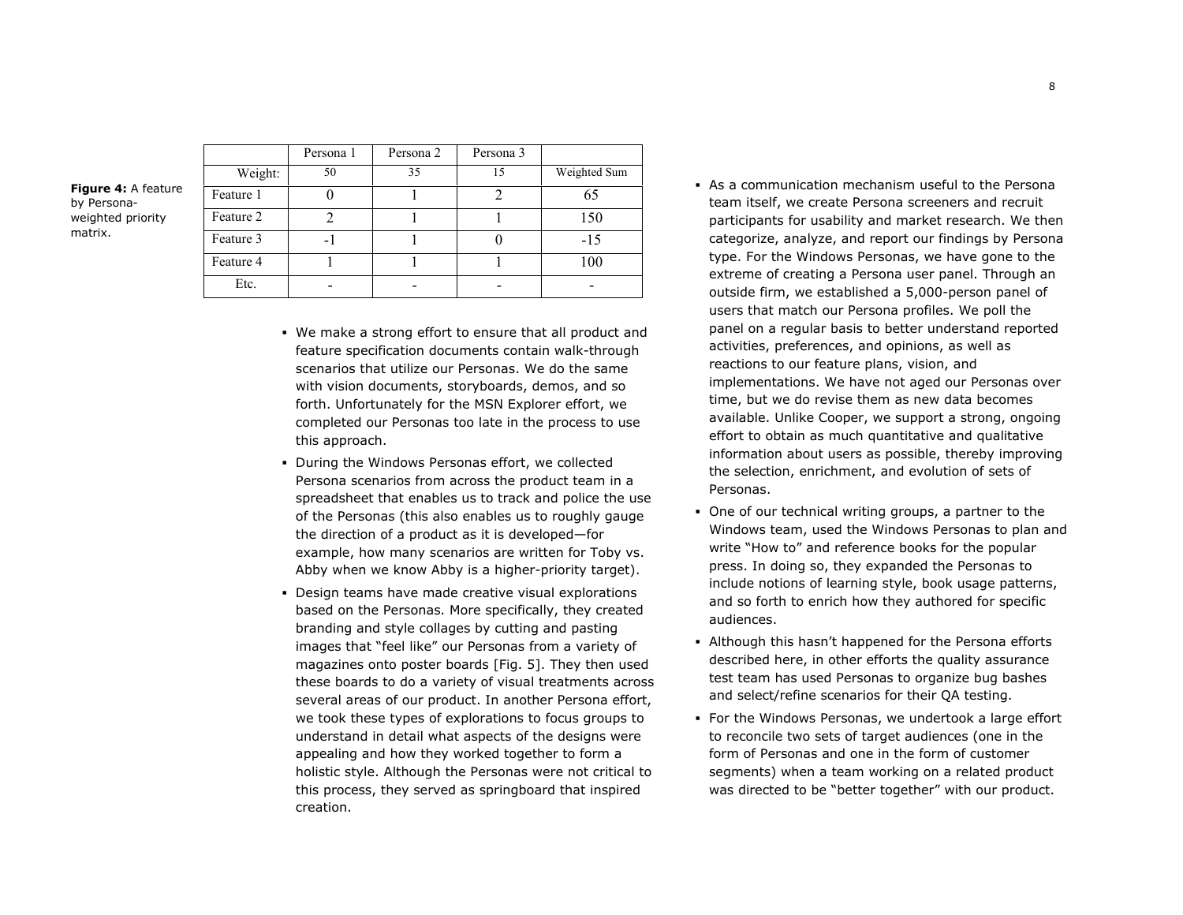|           | Persona 1 | Persona 2 | Persona 3 |              |
|-----------|-----------|-----------|-----------|--------------|
| Weight:   | 50        | 35        | 15        | Weighted Sum |
| Feature 1 |           |           |           | 65           |
| Feature 2 |           |           |           | 150          |
| Feature 3 |           |           |           | $-1.5$       |
| Feature 4 |           |           |           | 100          |
| Etc.      |           |           |           |              |

**Figure 4:** A feature by Personaweighted priority matrix.

- ! We make a strong effort to ensure that all product and feature specification documents contain walk-through scenarios that utilize our Personas. We do the same with vision documents, storyboards, demos, and so forth. Unfortunately for the MSN Explorer effort, we completed our Personas too late in the process to use this approach.
- ! During the Windows Personas effort, we collected Persona scenarios from across the product team in a spreadsheet that enables us to track and police the use of the Personas (this also enables us to roughly gauge the direction of a product as it is developed-for example, how many scenarios are written for Toby vs. Abby when we know Abby is a higher-priority target).
- ! Design teams have made creative visual explorations based on the Personas. More specifically, they created branding and style collages by cutting and pasting images that "feel like" our Personas from a variety of magazines onto poster boards [Fig. 5]. They then used these boards to do a variety of visual treatments across several areas of our product. In another Persona effort, we took these types of explorations to focus groups to understand in detail what aspects of the designs were appealing and how they worked together to form a holistic style. Although the Personas were not critical to this process, they served as springboard that inspired creation.
- ! As a communication mechanism useful to the Persona team itself, we create Persona screeners and recruit participants for usability and market research. We then categorize, analyze, and report our findings by Persona type. For the Windows Personas, we have gone to the extreme of creating a Persona user panel. Through an outside firm, we established a 5,000-person panel of users that match our Persona profiles. We poll the panel on a regular basis to better understand reported activities, preferences, and opinions, as well as reactions to our feature plans, vision, and implementations. We have not aged our Personas over time, but we do revise them as new data becomes available. Unlike Cooper, we support a strong, ongoing effort to obtain as much quantitative and qualitative information about users as possible, thereby improving the selection, enrichment, and evolution of sets of Personas.
- ! One of our technical writing groups, a partner to the Windows team, used the Windows Personas to plan and write "How to" and reference books for the popular press. In doing so, they expanded the Personas to include notions of learning style, book usage patterns, and so forth to enrich how they authored for specific audiences.
- ! Although this hasnít happened for the Persona efforts described here, in other efforts the quality assurance test team has used Personas to organize bug bashes and select/refine scenarios for their QA testing.
- ! For the Windows Personas, we undertook a large effort to reconcile two sets of target audiences (one in the form of Personas and one in the form of customer segments) when a team working on a related product was directed to be "better together" with our product.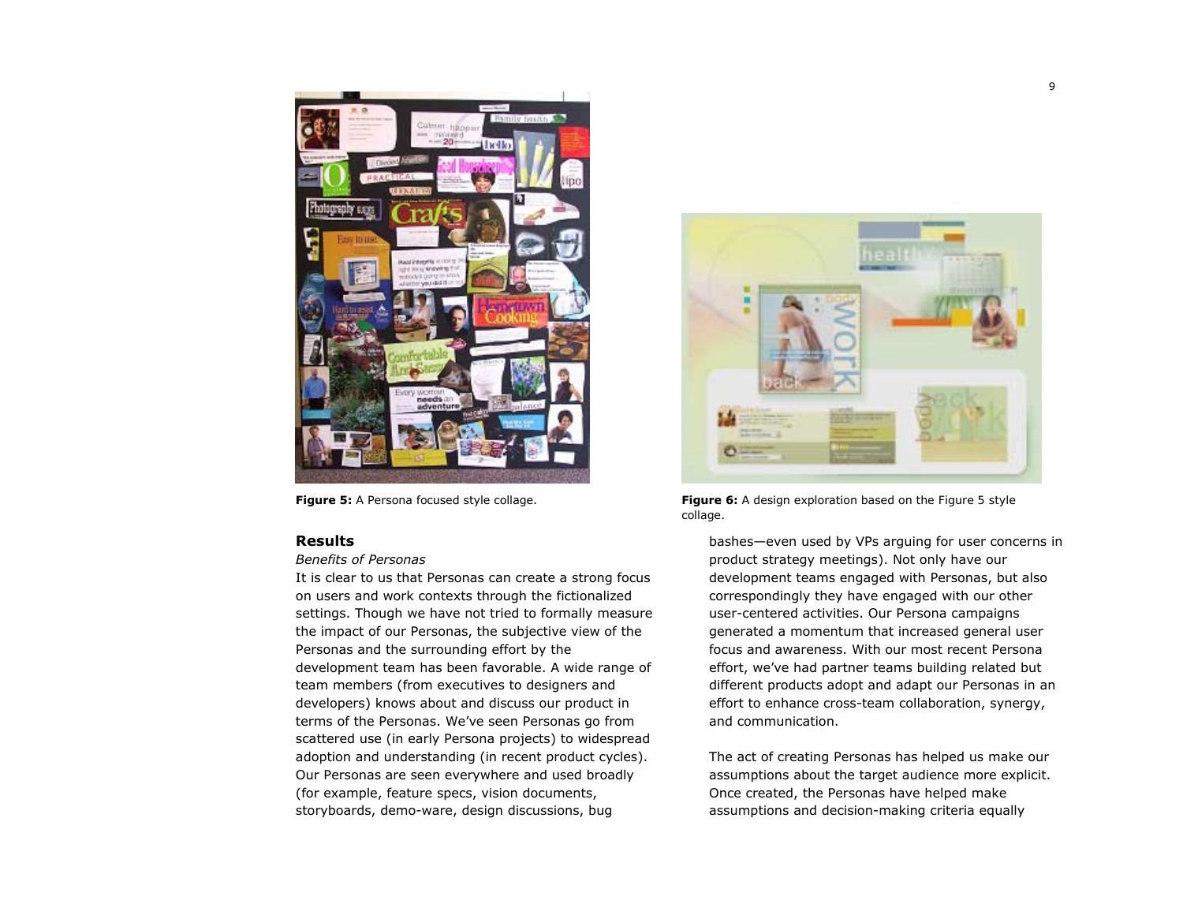

# **Results**

#### *Benefits of Personas*

It is clear to us that Personas can create a strong focus on users and work contexts through the fictionalized settings. Though we have not tried to formally measure the impact of our Personas, the subjective view of the Personas and the surrounding effort by the development team has been favorable. A wide range of team members (from executives to designers and developers) knows about and discuss our product in terms of the Personas. We've seen Personas go from scattered use (in early Persona projects) to widespread adoption and understanding (in recent product cycles). Our Personas are seen everywhere and used broadly (for example, feature specs, vision documents, storyboards, demo-ware, design discussions, bug



**Figure 5:** A Persona focused style collage. **Figure 6:** A design exploration based on the Figure 5 style collage.

bashes-even used by VPs arguing for user concerns in product strategy meetings). Not only have our development teams engaged with Personas, but also correspondingly they have engaged with our other user-centered activities. Our Persona campaigns generated a momentum that increased general user focus and awareness. With our most recent Persona effort, we've had partner teams building related but different products adopt and adapt our Personas in an effort to enhance cross-team collaboration, synergy, and communication.

The act of creating Personas has helped us make our assumptions about the target audience more explicit. Once created, the Personas have helped make assumptions and decision-making criteria equally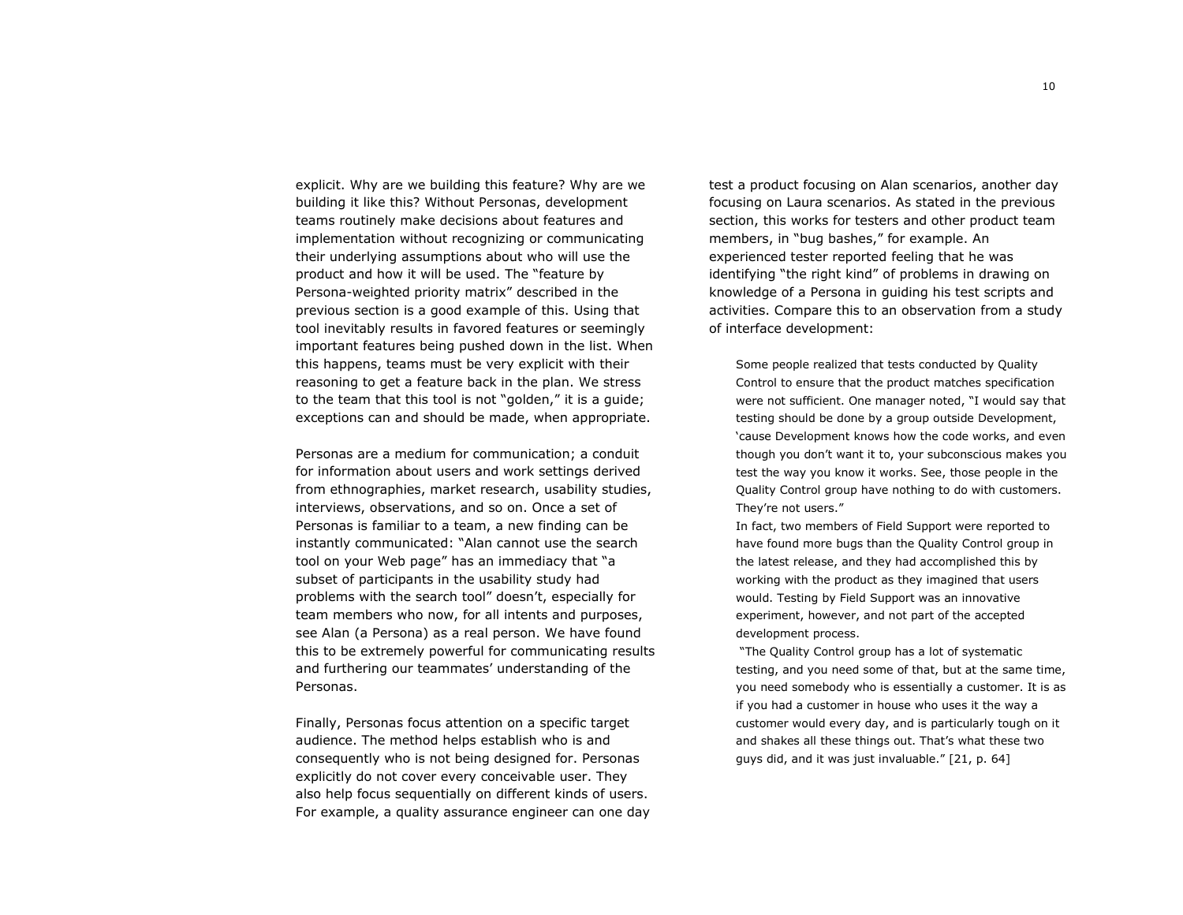explicit. Why are we building this feature? Why are we building it like this? Without Personas, development teams routinely make decisions about features and implementation without recognizing or communicating their underlying assumptions about who will use the product and how it will be used. The "feature by Persona-weighted priority matrix" described in the previous section is a good example of this. Using that tool inevitably results in favored features or seemingly important features being pushed down in the list. When this happens, teams must be very explicit with their reasoning to get a feature back in the plan. We stress to the team that this tool is not "golden," it is a guide; exceptions can and should be made, when appropriate.

Personas are a medium for communication; a conduit for information about users and work settings derived from ethnographies, market research, usability studies, interviews, observations, and so on. Once a set of Personas is familiar to a team, a new finding can be instantly communicated: "Alan cannot use the search tool on your Web page" has an immediacy that "a subset of participants in the usability study had problems with the search tool" doesn't, especially for team members who now, for all intents and purposes, see Alan (a Persona) as a real person. We have found this to be extremely powerful for communicating results and furthering our teammates' understanding of the Personas.

Finally, Personas focus attention on a specific target audience. The method helps establish who is and consequently who is not being designed for. Personas explicitly do not cover every conceivable user. They also help focus sequentially on different kinds of users. For example, a quality assurance engineer can one day

test a product focusing on Alan scenarios, another day focusing on Laura scenarios. As stated in the previous section, this works for testers and other product team members, in "bug bashes," for example. An experienced tester reported feeling that he was identifying "the right kind" of problems in drawing on knowledge of a Persona in guiding his test scripts and activities. Compare this to an observation from a study of interface development:

Some people realized that tests conducted by Quality Control to ensure that the product matches specification were not sufficient. One manager noted, "I would say that testing should be done by a group outside Development, `cause Development knows how the code works, and even though you donít want it to, your subconscious makes you test the way you know it works. See, those people in the Quality Control group have nothing to do with customers. They're not users."

In fact, two members of Field Support were reported to have found more bugs than the Quality Control group in the latest release, and they had accomplished this by working with the product as they imagined that users would. Testing by Field Support was an innovative experiment, however, and not part of the accepted development process.

"The Quality Control group has a lot of systematic testing, and you need some of that, but at the same time, you need somebody who is essentially a customer. It is as if you had a customer in house who uses it the way a customer would every day, and is particularly tough on it and shakes all these things out. That's what these two quys did, and it was just invaluable." [21, p. 64]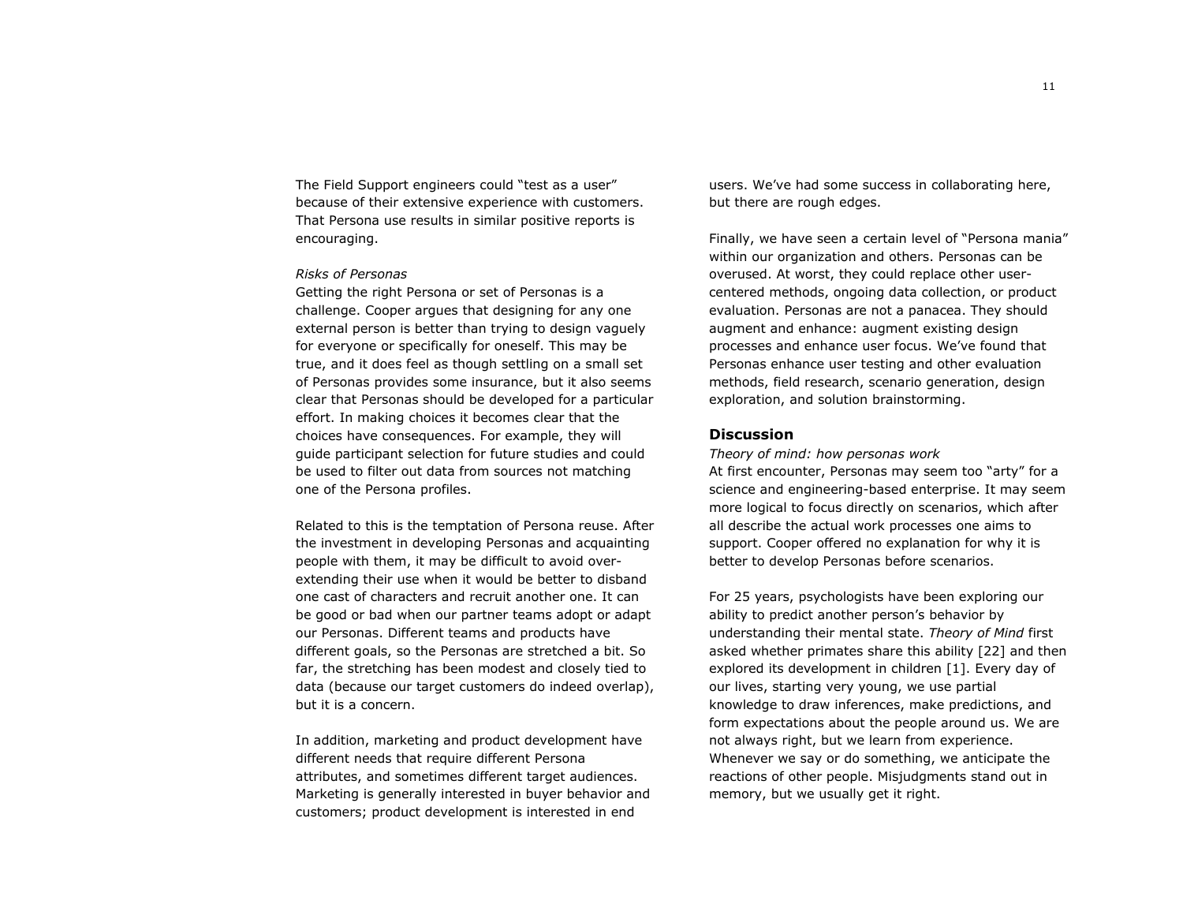The Field Support engineers could "test as a user" because of their extensive experience with customers. That Persona use results in similar positive reports is encouraging.

#### *Risks of Personas*

Getting the right Persona or set of Personas is a challenge. Cooper argues that designing for any one external person is better than trying to design vaguely for everyone or specifically for oneself. This may be true, and it does feel as though settling on a small set of Personas provides some insurance, but it also seems clear that Personas should be developed for a particular effort. In making choices it becomes clear that the choices have consequences. For example, they will guide participant selection for future studies and could be used to filter out data from sources not matching one of the Persona profiles.

Related to this is the temptation of Persona reuse. After the investment in developing Personas and acquainting people with them, it may be difficult to avoid overextending their use when it would be better to disband one cast of characters and recruit another one. It can be good or bad when our partner teams adopt or adapt our Personas. Different teams and products have different goals, so the Personas are stretched a bit. So far, the stretching has been modest and closely tied to data (because our target customers do indeed overlap), but it is a concern.

In addition, marketing and product development have different needs that require different Persona attributes, and sometimes different target audiences. Marketing is generally interested in buyer behavior and customers; product development is interested in end

users. We've had some success in collaborating here, but there are rough edges.

Finally, we have seen a certain level of "Persona mania" within our organization and others. Personas can be overused. At worst, they could replace other usercentered methods, ongoing data collection, or product evaluation. Personas are not a panacea. They should augment and enhance: augment existing design processes and enhance user focus. We've found that Personas enhance user testing and other evaluation methods, field research, scenario generation, design exploration, and solution brainstorming.

# **Discussion**

*Theory of mind: how personas work* 

At first encounter, Personas may seem too "arty" for a science and engineering-based enterprise. It may seem more logical to focus directly on scenarios, which after all describe the actual work processes one aims to support. Cooper offered no explanation for why it is better to develop Personas before scenarios.

For 25 years, psychologists have been exploring our ability to predict another person's behavior by understanding their mental state. *Theory of Mind* first asked whether primates share this ability [22] and then explored its development in children [1]. Every day of our lives, starting very young, we use partial knowledge to draw inferences, make predictions, and form expectations about the people around us. We are not always right, but we learn from experience. Whenever we say or do something, we anticipate the reactions of other people. Misjudgments stand out in memory, but we usually get it right.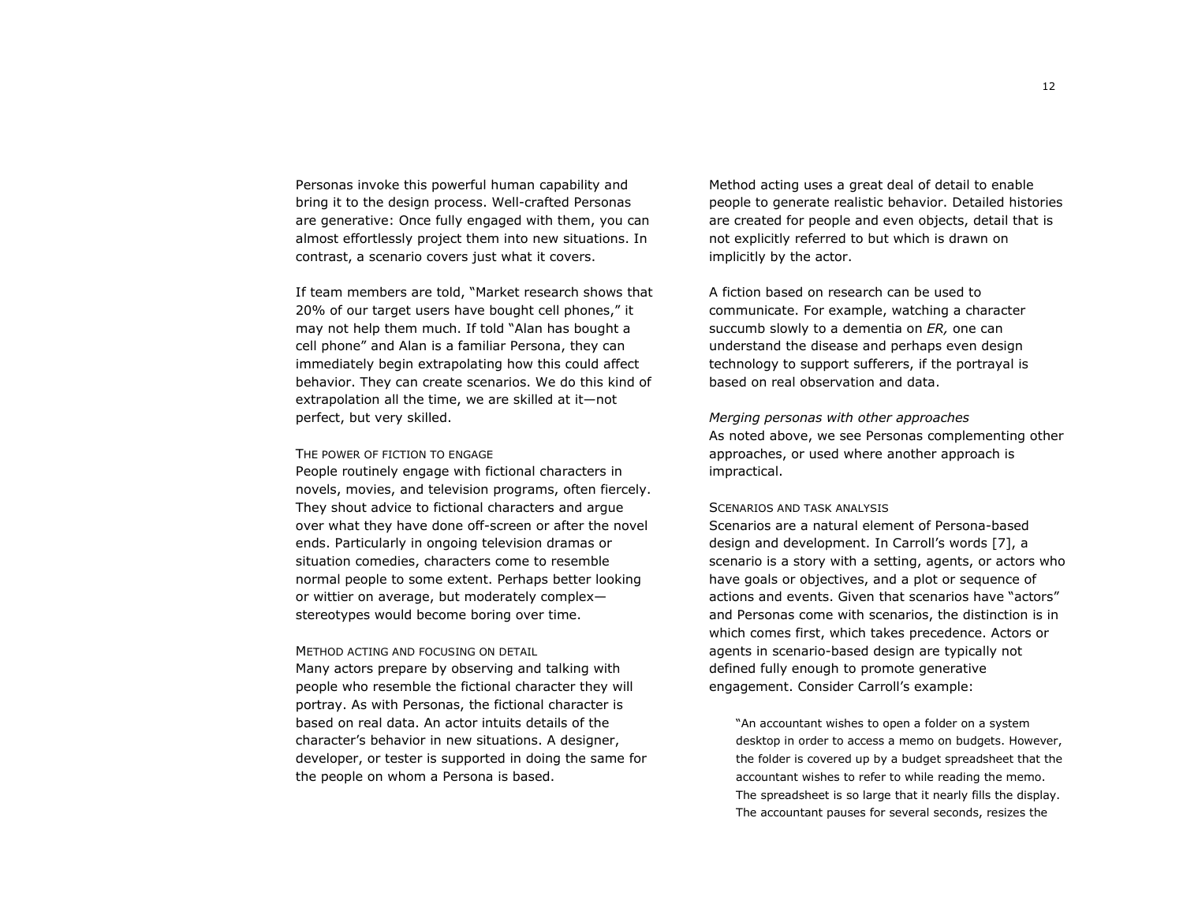Personas invoke this powerful human capability and bring it to the design process. Well-crafted Personas are generative: Once fully engaged with them, you can almost effortlessly project them into new situations. In contrast, a scenario covers just what it covers.

If team members are told, "Market research shows that 20% of our target users have bought cell phones," it may not help them much. If told "Alan has bought a cell phone" and Alan is a familiar Persona, they can immediately begin extrapolating how this could affect behavior. They can create scenarios. We do this kind of extrapolation all the time, we are skilled at it $-$ not perfect, but very skilled.

#### THE POWER OF FICTION TO ENGAGE

People routinely engage with fictional characters in novels, movies, and television programs, often fiercely. They shout advice to fictional characters and argue over what they have done off-screen or after the novel ends. Particularly in ongoing television dramas or situation comedies, characters come to resemble normal people to some extent. Perhaps better looking or wittier on average, but moderately complexstereotypes would become boring over time.

METHOD ACTING AND FOCUSING ON DETAIL Many actors prepare by observing and talking with people who resemble the fictional character they will portray. As with Personas, the fictional character is based on real data. An actor intuits details of the characterís behavior in new situations. A designer, developer, or tester is supported in doing the same for the people on whom a Persona is based.

Method acting uses a great deal of detail to enable people to generate realistic behavior. Detailed histories are created for people and even objects, detail that is not explicitly referred to but which is drawn on implicitly by the actor.

A fiction based on research can be used to communicate. For example, watching a character succumb slowly to a dementia on *ER,* one can understand the disease and perhaps even design technology to support sufferers, if the portrayal is based on real observation and data.

*Merging personas with other approaches*  As noted above, we see Personas complementing other approaches, or used where another approach is impractical.

#### SCENARIOS AND TASK ANALYSIS

Scenarios are a natural element of Persona-based design and development. In Carroll's words [7], a scenario is a story with a setting, agents, or actors who have goals or objectives, and a plot or sequence of actions and events. Given that scenarios have "actors" and Personas come with scenarios, the distinction is in which comes first, which takes precedence. Actors or agents in scenario-based design are typically not defined fully enough to promote generative engagement. Consider Carroll's example:

"An accountant wishes to open a folder on a system desktop in order to access a memo on budgets. However, the folder is covered up by a budget spreadsheet that the accountant wishes to refer to while reading the memo. The spreadsheet is so large that it nearly fills the display. The accountant pauses for several seconds, resizes the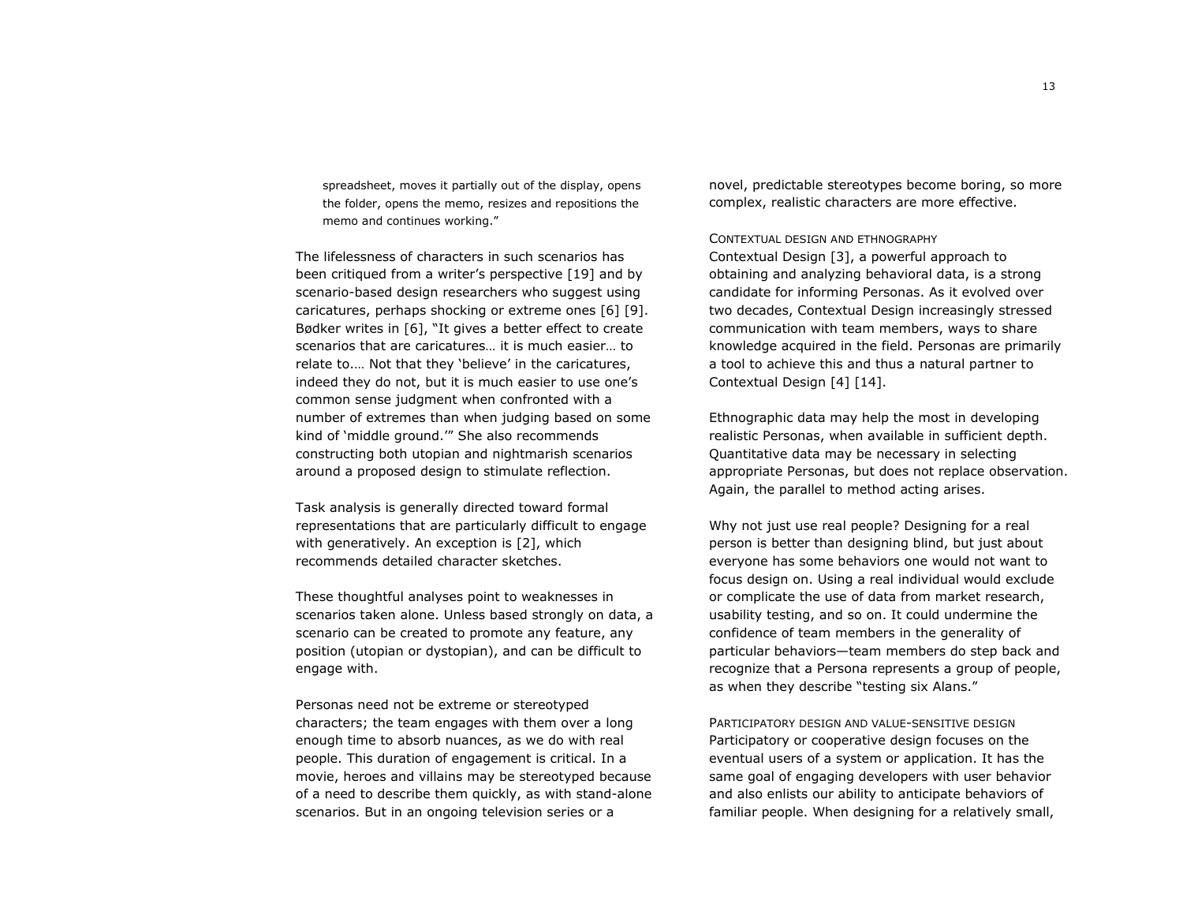spreadsheet, moves it partially out of the display, opens the folder, opens the memo, resizes and repositions the memo and continues working."

The lifelessness of characters in such scenarios has been critiqued from a writer's perspective [19] and by scenario-based design researchers who suggest using caricatures, perhaps shocking or extreme ones [6] [9]. Bødker writes in  $[6]$ , "It gives a better effect to create scenarios that are caricatures... it is much easier... to relate to.... Not that they 'believe' in the caricatures, indeed they do not, but it is much easier to use one's common sense judgment when confronted with a number of extremes than when judging based on some kind of 'middle ground.'" She also recommends constructing both utopian and nightmarish scenarios around a proposed design to stimulate reflection.

Task analysis is generally directed toward formal representations that are particularly difficult to engage with generatively. An exception is [2], which recommends detailed character sketches.

These thoughtful analyses point to weaknesses in scenarios taken alone. Unless based strongly on data, a scenario can be created to promote any feature, any position (utopian or dystopian), and can be difficult to engage with.

Personas need not be extreme or stereotyped characters; the team engages with them over a long enough time to absorb nuances, as we do with real people. This duration of engagement is critical. In a movie, heroes and villains may be stereotyped because of a need to describe them quickly, as with stand-alone scenarios. But in an ongoing television series or a

novel, predictable stereotypes become boring, so more complex, realistic characters are more effective.

CONTEXTUAL DESIGN AND ETHNOGRAPHY

Contextual Design [3], a powerful approach to obtaining and analyzing behavioral data, is a strong candidate for informing Personas. As it evolved over two decades, Contextual Design increasingly stressed communication with team members, ways to share knowledge acquired in the field. Personas are primarily a tool to achieve this and thus a natural partner to Contextual Design [4] [14].

Ethnographic data may help the most in developing realistic Personas, when available in sufficient depth. Quantitative data may be necessary in selecting appropriate Personas, but does not replace observation. Again, the parallel to method acting arises.

Why not just use real people? Designing for a real person is better than designing blind, but just about everyone has some behaviors one would not want to focus design on. Using a real individual would exclude or complicate the use of data from market research, usability testing, and so on. It could undermine the confidence of team members in the generality of particular behaviors-team members do step back and recognize that a Persona represents a group of people, as when they describe "testing six Alans."

PARTICIPATORY DESIGN AND VALUE-SENSITIVE DESIGNParticipatory or cooperative design focuses on the eventual users of a system or application. It has the same goal of engaging developers with user behavior and also enlists our ability to anticipate behaviors of familiar people. When designing for a relatively small,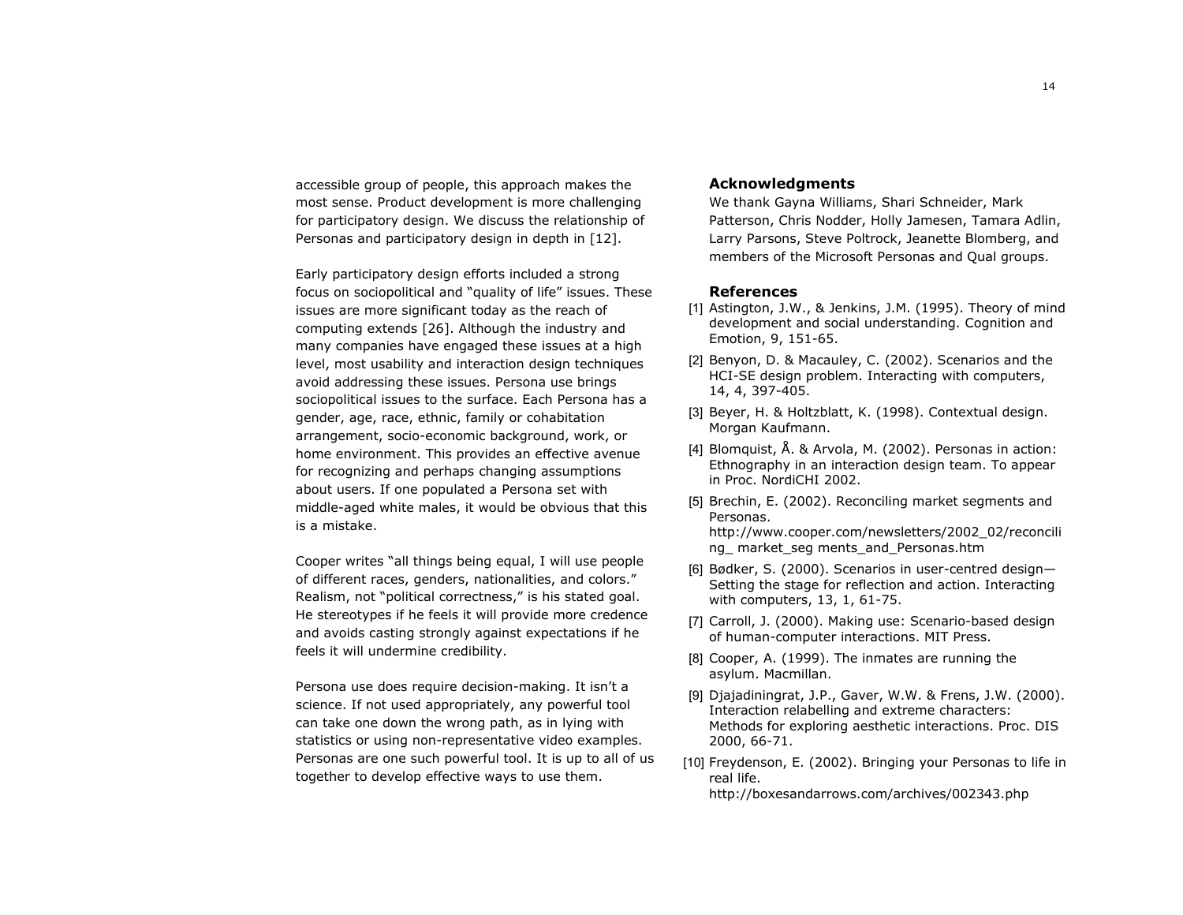accessible group of people, this approach makes the most sense. Product development is more challenging for participatory design. We discuss the relationship of Personas and participatory design in depth in [12].

Early participatory design efforts included a strong focus on sociopolitical and "quality of life" issues. These issues are more significant today as the reach of computing extends [26]. Although the industry and many companies have engaged these issues at a high level, most usability and interaction design techniques avoid addressing these issues. Persona use brings sociopolitical issues to the surface. Each Persona has a gender, age, race, ethnic, family or cohabitation arrangement, socio-economic background, work, or home environment. This provides an effective avenue for recognizing and perhaps changing assumptions about users. If one populated a Persona set with middle-aged white males, it would be obvious that this is a mistake.

Cooper writes "all things being equal, I will use people of different races, genders, nationalities, and colors." Realism, not "political correctness," is his stated goal. He stereotypes if he feels it will provide more credence and avoids casting strongly against expectations if he feels it will undermine credibility.

Persona use does require decision-making. It isn't a science. If not used appropriately, any powerful tool can take one down the wrong path, as in lying with statistics or using non-representative video examples. Personas are one such powerful tool. It is up to all of us together to develop effective ways to use them.

# **Acknowledgments**

We thank Gayna Williams, Shari Schneider, Mark Patterson, Chris Nodder, Holly Jamesen, Tamara Adlin, Larry Parsons, Steve Poltrock, Jeanette Blomberg, and members of the Microsoft Personas and Qual groups.

# **References**

- [1] Astington, J.W., & Jenkins, J.M. (1995). Theory of mind development and social understanding. Cognition and Emotion, 9, 151-65.
- [2] Benyon, D. & Macauley, C. (2002). Scenarios and the HCI-SE design problem. Interacting with computers, 14, 4, 397-405.
- [3] Beyer, H. & Holtzblatt, K. (1998). Contextual design. Morgan Kaufmann.
- [4] Blomquist, Å. & Arvola, M. (2002). Personas in action: Ethnography in an interaction design team. To appear in Proc. NordiCHI 2002.
- [5] Brechin, E. (2002). Reconciling market segments and Personas. http://www.cooper.com/newsletters/2002\_02/reconcili ng market seg ments and Personas.htm
- [6] Bødker, S. (2000). Scenarios in user-centred design $-$ Setting the stage for reflection and action. Interacting with computers, 13, 1, 61-75.
- [7] Carroll, J. (2000). Making use: Scenario-based design of human-computer interactions. MIT Press.
- [8] Cooper, A. (1999). The inmates are running the asylum. Macmillan.
- [9] Djajadiningrat, J.P., Gaver, W.W. & Frens, J.W. (2000). Interaction relabelling and extreme characters: Methods for exploring aesthetic interactions. Proc. DIS 2000, 66-71.
- [10] Freydenson, E. (2002). Bringing your Personas to life in real life. http://boxesandarrows.com/archives/002343.php